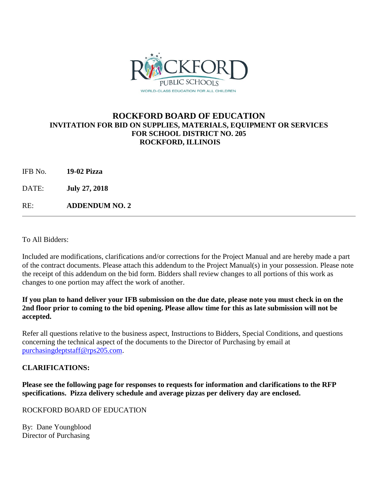

## **ROCKFORD BOARD OF EDUCATION INVITATION FOR BID ON SUPPLIES, MATERIALS, EQUIPMENT OR SERVICES FOR SCHOOL DISTRICT NO. 205 ROCKFORD, ILLINOIS**

| 19-02 Pizza |
|-------------|
|             |

DATE: **July 27, 2018**

RE: **ADDENDUM NO. 2**

To All Bidders:

Included are modifications, clarifications and/or corrections for the Project Manual and are hereby made a part of the contract documents. Please attach this addendum to the Project Manual(s) in your possession. Please note the receipt of this addendum on the bid form. Bidders shall review changes to all portions of this work as changes to one portion may affect the work of another.

#### **If you plan to hand deliver your IFB submission on the due date, please note you must check in on the 2nd floor prior to coming to the bid opening. Please allow time for this as late submission will not be accepted.**

Refer all questions relative to the business aspect, Instructions to Bidders, Special Conditions, and questions concerning the technical aspect of the documents to the Director of Purchasing by email at [purchasingdeptstaff@rps205.com.](mailto:purchasingdeptstaff@rps205.com)

### **CLARIFICATIONS:**

**Please see the following page for responses to requests for information and clarifications to the RFP specifications. Pizza delivery schedule and average pizzas per delivery day are enclosed.**

ROCKFORD BOARD OF EDUCATION

By: Dane Youngblood Director of Purchasing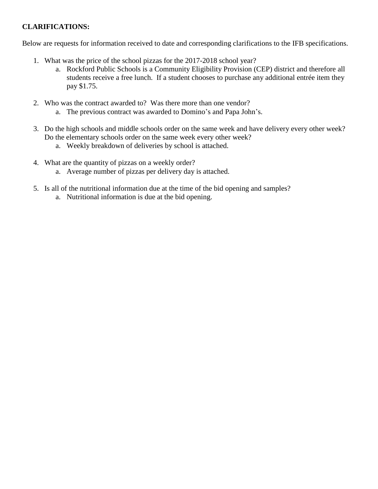## **CLARIFICATIONS:**

Below are requests for information received to date and corresponding clarifications to the IFB specifications.

- 1. What was the price of the school pizzas for the 2017-2018 school year?
	- a. Rockford Public Schools is a Community Eligibility Provision (CEP) district and therefore all students receive a free lunch. If a student chooses to purchase any additional entrée item they pay \$1.75.
- 2. Who was the contract awarded to? Was there more than one vendor?
	- a. The previous contract was awarded to Domino's and Papa John's.
- 3. Do the high schools and middle schools order on the same week and have delivery every other week? Do the elementary schools order on the same week every other week?
	- a. Weekly breakdown of deliveries by school is attached.
- 4. What are the quantity of pizzas on a weekly order?
	- a. Average number of pizzas per delivery day is attached.
- 5. Is all of the nutritional information due at the time of the bid opening and samples?
	- a. Nutritional information is due at the bid opening.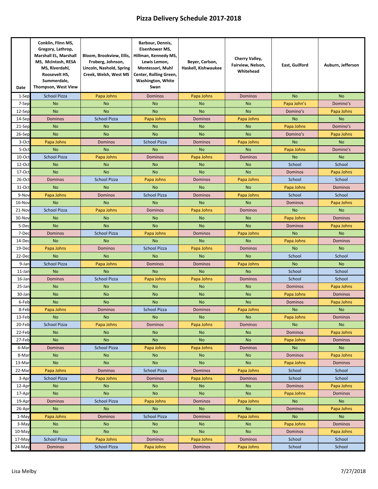# **Pizza Delivery Schedule 2017‐2018**

| Date      | Conklin, Flinn MS,<br>Gregory, Lathrop,<br>Marshall EL, Marshall<br>MS, McIntosh, RESA<br>MS, Riverdahl,<br>Roosevelt HS.<br>Summerdale,<br>Thompson, West View | Bloom, Brookview, Ellis, Hillman, Kennedy MS,<br>Froberg, Johnson,<br>Lincoln, Nashold, Spring<br>Creek, Welsh, West MS | Barbour, Dennis,<br>Eisenhower MS,<br>Lewis Lemon,<br>Montessori, Muhl<br>Center, Rolling Green,<br>Washington, White<br>Swan | Beyer, Carlson,<br>Haskell, Kishwaukee | Cherry Valley,<br>Fairview, Nelson,<br>Whitehead | East, Guilford | Auburn, Jefferson |
|-----------|-----------------------------------------------------------------------------------------------------------------------------------------------------------------|-------------------------------------------------------------------------------------------------------------------------|-------------------------------------------------------------------------------------------------------------------------------|----------------------------------------|--------------------------------------------------|----------------|-------------------|
| $1-Sep$   | <b>School Pizza</b>                                                                                                                                             | Papa Johns                                                                                                              | <b>Dominos</b>                                                                                                                | Papa Johns                             | <b>Dominos</b>                                   | <b>No</b>      | <b>No</b>         |
| 7-Sep     | <b>No</b>                                                                                                                                                       | <b>No</b>                                                                                                               | <b>No</b>                                                                                                                     | <b>No</b>                              | <b>No</b>                                        | Papa John's    | Domino's          |
| 12-Sep    | <b>No</b>                                                                                                                                                       | <b>No</b>                                                                                                               | <b>No</b>                                                                                                                     | <b>No</b>                              | <b>No</b>                                        | Domino's       | Papa Johns        |
| 14-Sep    | Dominos                                                                                                                                                         | <b>School Pizza</b>                                                                                                     | Papa Johns                                                                                                                    | <b>Dominos</b>                         | Papa Johns                                       | <b>No</b>      | <b>No</b>         |
| 21-Sep    | <b>No</b>                                                                                                                                                       | <b>No</b>                                                                                                               | No                                                                                                                            | <b>No</b>                              | <b>No</b>                                        | Papa Johns     | Domino's          |
| 26-Sep    | <b>No</b>                                                                                                                                                       | <b>No</b>                                                                                                               | <b>No</b>                                                                                                                     | <b>No</b>                              | <b>No</b>                                        | Domino's       | Papa Johns        |
| 3-Oct     | Papa Johns                                                                                                                                                      | Dominos                                                                                                                 | <b>School Pizza</b>                                                                                                           | <b>Dominos</b>                         | Papa Johns                                       | <b>No</b>      | <b>No</b>         |
| 5-Oct     | <b>No</b>                                                                                                                                                       | <b>No</b>                                                                                                               | <b>No</b>                                                                                                                     | <b>No</b>                              | <b>No</b>                                        | Papa Johns     | Domino's          |
| 10-Oct    | <b>School Pizza</b>                                                                                                                                             | Papa Johns                                                                                                              | Dominos                                                                                                                       | Papa Johns                             | <b>Dominos</b>                                   | <b>No</b>      | <b>No</b>         |
| $12$ -Oct | <b>No</b>                                                                                                                                                       | <b>No</b>                                                                                                               | <b>No</b>                                                                                                                     | <b>No</b>                              | <b>No</b>                                        | School         | School            |
| $17-Oct$  | <b>No</b>                                                                                                                                                       | <b>No</b>                                                                                                               | <b>No</b>                                                                                                                     | <b>No</b>                              | <b>No</b>                                        | Dominos        | Papa Johns        |
| 26-Oct    | Dominos                                                                                                                                                         | <b>School Pizza</b>                                                                                                     | Papa Johns                                                                                                                    | <b>Dominos</b>                         | Papa Johns                                       | School         | School            |
| 31-Oct    | <b>No</b>                                                                                                                                                       | <b>No</b>                                                                                                               | <b>No</b>                                                                                                                     | <b>No</b>                              | <b>No</b>                                        | Papa Johns     | Dominos           |
| 9-Nov     | Papa Johns                                                                                                                                                      | <b>Dominos</b>                                                                                                          | <b>School Pizza</b>                                                                                                           | <b>Dominos</b>                         | Papa Johns                                       | School         | School            |
| 16-Nov    | <b>No</b>                                                                                                                                                       | <b>No</b>                                                                                                               | <b>No</b>                                                                                                                     | <b>No</b>                              | <b>No</b>                                        | Dominos        | Papa Johns        |
| 21-Nov    | <b>School Pizza</b>                                                                                                                                             | Papa Johns                                                                                                              | <b>Dominos</b>                                                                                                                | Papa Johns                             | <b>Dominos</b>                                   | <b>No</b>      | <b>No</b>         |
| 30-Nov    | <b>No</b>                                                                                                                                                       | <b>No</b>                                                                                                               | <b>No</b>                                                                                                                     | <b>No</b>                              | <b>No</b>                                        | Papa Johns     | <b>Dominos</b>    |
| 5-Dec     | <b>No</b>                                                                                                                                                       | <b>No</b>                                                                                                               | <b>No</b>                                                                                                                     | <b>No</b>                              | <b>No</b>                                        | <b>Dominos</b> | Papa Johns        |
| 7-De      | <b>Dominos</b>                                                                                                                                                  | <b>School Pizza</b>                                                                                                     | Papa Johns                                                                                                                    | <b>Dominos</b>                         | Papa Johns                                       | <b>No</b>      | <b>No</b>         |
| 14-Dec    | <b>No</b>                                                                                                                                                       | <b>No</b>                                                                                                               | <b>No</b>                                                                                                                     | <b>No</b>                              | <b>No</b>                                        | Papa Johns     | <b>Dominos</b>    |
| 19-Dec    | Papa Johns                                                                                                                                                      | <b>Dominos</b>                                                                                                          | <b>School Pizza</b>                                                                                                           | Papa Johns                             | <b>Dominos</b>                                   | <b>No</b>      | <b>No</b>         |
| 22-Dec    | <b>No</b>                                                                                                                                                       | <b>No</b>                                                                                                               | No                                                                                                                            | <b>No</b>                              | <b>No</b>                                        | School         | School            |
| 9-Jar     | <b>School Pizza</b>                                                                                                                                             | Papa Johns                                                                                                              | Dominos                                                                                                                       | Dominos                                | Papa Johns                                       | <b>No</b>      | <b>No</b>         |
| 11-Jar    | <b>No</b>                                                                                                                                                       | <b>No</b>                                                                                                               | <b>No</b>                                                                                                                     | <b>No</b>                              | <b>No</b>                                        | School         | School            |
| 16-Jar    | Dominos                                                                                                                                                         | <b>School Pizza</b>                                                                                                     | Papa Johns                                                                                                                    | Papa Johns                             | <b>Dominos</b>                                   | School         | School            |
| 25-Jar    | <b>No</b>                                                                                                                                                       | <b>No</b>                                                                                                               | <b>No</b>                                                                                                                     | <b>No</b>                              | <b>No</b>                                        | Dominos        | Papa Johns        |
| 30-Jan    | <b>No</b>                                                                                                                                                       | <b>No</b>                                                                                                               | <b>No</b>                                                                                                                     | <b>No</b>                              | <b>No</b>                                        | Papa Johns     | <b>Dominos</b>    |
| 6-Feb     | <b>No</b>                                                                                                                                                       | <b>No</b>                                                                                                               | <b>No</b>                                                                                                                     | <b>No</b>                              | <b>No</b>                                        | Dominos        | Papa Johns        |
| 8-Feb     | Papa Johns                                                                                                                                                      | <b>Dominos</b>                                                                                                          | <b>School Pizza</b>                                                                                                           | <b>Dominos</b>                         | Papa Johns                                       | <b>No</b>      | <b>No</b>         |
| 13-Feb    | <b>No</b>                                                                                                                                                       | <b>No</b>                                                                                                               | No                                                                                                                            | <b>No</b>                              | <b>No</b>                                        | Papa Johns     | Dominos           |
| 20-Feb    | <b>School Pizza</b>                                                                                                                                             | Papa Johns                                                                                                              | <b>Dominos</b>                                                                                                                | Papa Johns                             | <b>Dominos</b>                                   | <b>No</b>      | <b>No</b>         |
| 22-Feb    | <b>No</b>                                                                                                                                                       | <b>No</b>                                                                                                               | No                                                                                                                            | <b>No</b>                              | <b>No</b>                                        | <b>Dominos</b> | Papa Johns        |
| 27-Feb    | <b>No</b>                                                                                                                                                       | <b>No</b>                                                                                                               | <b>No</b>                                                                                                                     | <b>No</b>                              | <b>No</b>                                        | Papa Johns     | Dominos           |
| 6-Mar     | Dominos                                                                                                                                                         | <b>School Pizza</b>                                                                                                     | Papa Johns                                                                                                                    | Papa Johns                             | Dominos                                          | <b>No</b>      | <b>No</b>         |
| 8-Mar     | <b>No</b>                                                                                                                                                       | <b>No</b>                                                                                                               | <b>No</b>                                                                                                                     | <b>No</b>                              | <b>No</b>                                        | <b>Dominos</b> | Papa Johns        |
| 13-Mar    | <b>No</b>                                                                                                                                                       | <b>No</b>                                                                                                               | No                                                                                                                            | <b>No</b>                              | <b>No</b>                                        | Papa Johns     | Dominos           |
| 22-Mar    | Papa Johns                                                                                                                                                      | <b>Dominos</b>                                                                                                          | <b>School Pizza</b>                                                                                                           | <b>Dominos</b>                         | Papa Johns                                       | School         | School            |
| 3-Apr     | School Pizza                                                                                                                                                    | Papa Johns                                                                                                              | Dominos                                                                                                                       | Papa Johns                             | <b>Dominos</b>                                   | School         | School            |
| 12-Apr    | <b>No</b>                                                                                                                                                       | <b>No</b>                                                                                                               | No                                                                                                                            | <b>No</b>                              | <b>No</b>                                        | <b>Dominos</b> | Papa Johns        |
| 17-Apr    | <b>No</b>                                                                                                                                                       | <b>No</b>                                                                                                               | <b>No</b>                                                                                                                     | <b>No</b>                              | <b>No</b>                                        | Papa Johns     | Dominos           |
| 19-Apr    | Dominos                                                                                                                                                         | <b>School Pizza</b>                                                                                                     | Papa Johns                                                                                                                    | Dominos                                | Papa Johns                                       | <b>No</b>      | <b>No</b>         |
| 26-Apr    | <b>No</b>                                                                                                                                                       | <b>No</b>                                                                                                               | No                                                                                                                            | <b>No</b>                              | <b>No</b>                                        | <b>Dominos</b> | Papa Johns        |
| 1-May     | Papa Johns                                                                                                                                                      | Dominos                                                                                                                 | <b>School Pizza</b>                                                                                                           | Dominos                                | Papa Johns                                       | <b>No</b>      | <b>No</b>         |
| 3-May     | <b>No</b>                                                                                                                                                       | <b>No</b>                                                                                                               | <b>No</b>                                                                                                                     | <b>No</b>                              | <b>No</b>                                        | Papa Johns     | Dominos           |
| $10-May$  | <b>No</b>                                                                                                                                                       | <b>No</b>                                                                                                               | <b>No</b>                                                                                                                     | <b>No</b>                              | <b>No</b>                                        | Dominos        | Papa Johns        |
| $17-May$  | <b>School Pizza</b>                                                                                                                                             | Papa Johns                                                                                                              | Dominos                                                                                                                       | Papa Johns                             | Dominos                                          | School         | School            |
| 24-May    | Dominos                                                                                                                                                         | School Pizza                                                                                                            | Papa Johns                                                                                                                    | Dominos                                | Papa Johns                                       | School         | School            |